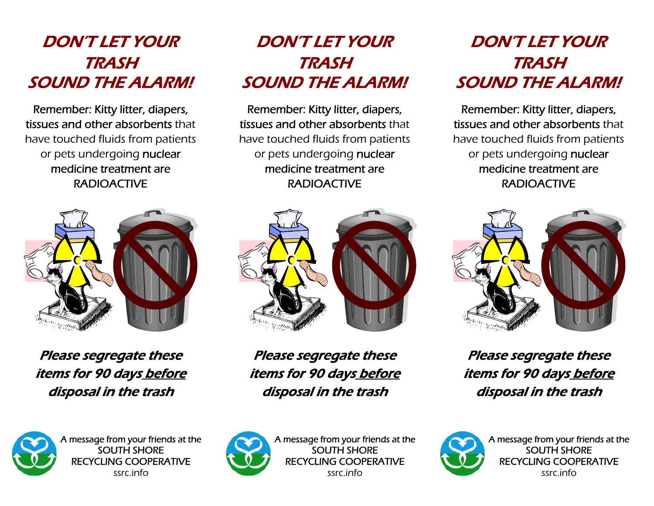## DON'T LET YOUR TRASH SOUND THE ALARM!

Remember: Kitty litter, diapers, tissues and other absorbents that have touched fluids from patients or pets undergoing nuclear medicine treatment are RADIOACTIVE



Please segregate these items for 90 days before disposal in the trash

## DON'T LET YOUR TRASH SOUND THE ALARM!

Remember: Kitty litter, diapers, tissues and other absorbents that have touched fluids from patients or pets undergoing nuclear medicine treatment are RADIOACTIVE



Please segregate these items for 90 days before disposal in the trash

## DON'T LET YOUR TRASH SOUND THE ALARM!

Remember: Kitty litter, diapers, tissues and other absorbents that have touched fluids from patients or pets undergoing nuclear medicine treatment are RADIOACTIVE



Please segregate these items for 90 days before disposal in the trash



A message from your friends at the SOUTH SHORE RECYCLING COOPERATIVE ssrc.info



A message from your friends at the SOUTH SHORE RECYCLING COOPERATIVE ssrc.info



A message from your friends at the SOUTH SHORE RECYCLING COOPERATIVE ssrc.info